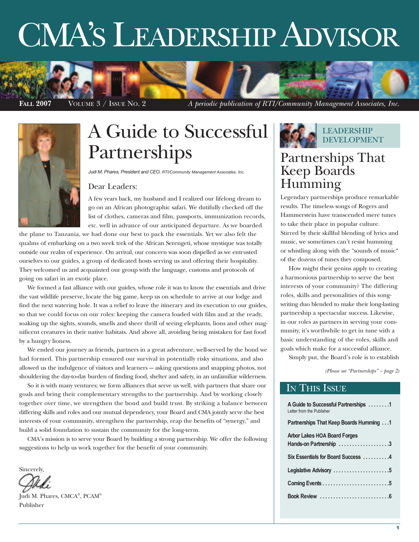# CMA'S LEADERSHIP ADVISOR





# A Guide to Successful Partnerships

*Judi M. Phares, President and CEO, RTI/Community Management Assocates, Inc.*

#### Dear Leaders:

A few years back, my husband and I realized our lifelong dream to go on an African photographic safari. We dutifully checked off the list of clothes, cameras and film, passports, immunization records, etc. well in advance of our anticipated departure. As we boarded

the plane to Tanzania, we had done our best to pack the essentials. Yet we also felt the qualms of embarking on a two week trek of the African Serengeti, whose mystique was totally outside our realm of experience. On arrival, our concern was soon dispelled as we entrusted ourselves to our guides, a group of dedicated hosts serving us and offering their hospitality. They welcomed us and acquainted our group with the language, customs and protocols of going on safari in an exotic place.

We formed a fast alliance with our guides, whose role it was to know the essentials and drive the vast wildlife preserve, locate the big game, keep us on schedule to arrive at our lodge and find the next watering hole. It was a relief to leave the itinerary and its execution to our guides, so that we could focus on our roles: keeping the camera loaded with film and at the ready, soaking up the sights, sounds, smells and sheer thrill of seeing elephants, lions and other magnificent creatures in their native habitats. And above all, avoiding being mistaken for fast food by a hungry lioness.

We ended our journey as friends, partners in a great adventure, well-served by the bond we had formed. This partnership ensured our survival in potentially risky situations, and also allowed us the indulgence of visitors and learners  $-$  asking questions and snapping photos, not shouldering the day-to-day burden of finding food, shelter and safety, in an unfamiliar wilderness.

So it is with many ventures; we form alliances that serve us well, with partners that share our goals and bring their complementary strengths to the partnership. And by working closely together over time, we strengthen the bond and build trust. By striking a balance between differing skills and roles and our mutual dependency, your Board and CMA jointly serve the best interests of your community, strengthen the partnership, reap the benefits of "synergy," and build a solid foundation to sustain the community for the long-term.

CMA's mission is to serve your Board by building a strong partnership. We offer the following suggestions to help us work together for the benefit of your community.

Sincerely,

Iudi M. Phares, CMCA®, PCAM® Publisher

**LEADERSHIP** DEVELOPMENT

## Partnerships That Keep Boards Humming

Legendary partnerships produce remarkable results. The timeless songs of Rogers and Hammerstein have transcended mere tunes to take their place in popular culture. Stirred by their skillful blending of lyrics and music, we sometimes can't resist humming or whistling along with the "sounds of music" of the dozens of tunes they composed.

How might their genius apply to creating a harmonious partnership to serve the best interests of your community? The differing roles, skills and personalities of this songwriting duo blended to make their long-lasting partnership a spectacular success. Likewise, in our roles as partners in serving your community, it's worthwhile to get in tune with a basic understanding of the roles, skills and goals which make for a successful alliance.

Simply put, the Board's role is to establish

*(Please see "Partnerships" – page 2)*

### IN THIS ISSUE

| A Guide to Successful Partnerships 1<br>Letter from the Publisher |
|-------------------------------------------------------------------|
| <b>Partnerships That Keep Boards Humming </b> 1                   |
| <b>Arbor Lakes HOA Board Forges</b><br>Hands-on Partnership 3     |
| Six Essentials for Board Success 4                                |
| Legislative Advisory 5                                            |
|                                                                   |
|                                                                   |
|                                                                   |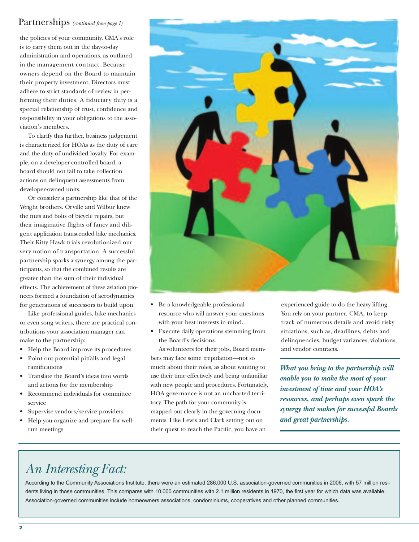### Partnerships *(continued from page 1)*

the policies of your community. CMA's role is to carry them out in the day-to-day administration and operations, as outlined in the management contract. Because owners depend on the Board to maintain their property investment, Directors must adhere to strict standards of review in performing their duties. A fiduciary duty is a special relationship of trust, confidence and responsibility in your obligations to the association's members.

To clarify this further, business judgement is characterized for HOAs as the duty of care and the duty of undivided loyalty. For example, on a developer-controlled board, a board should not fail to take collection actions on delinquent assessments from developer-owned units.

Or consider a partnership like that of the Wright brothers. Orville and Wilbur knew the nuts and bolts of bicycle repairs, but their imaginative flights of fancy and diligent application transcended bike mechanics. Their Kitty Hawk trials revolutionized our very notion of transportation. A successful partnership sparks a synergy among the participants, so that the combined results are greater than the sum of their individual effects. The achievement of these aviation pioneers formed a foundation of aerodynamics for generations of successors to build upon.

Like professional guides, bike mechanics or even song writers, there are practical contributions your association manager can make to the partnership:

- Help the Board improve its procedures
- Point out potential pitfalls and legal ramifications
- Translate the Board's ideas into words and actions for the membership
- Recommend individuals for committee service
- Supervise vendors/service providers
- Help you organize and prepare for wellrun meetings



- Be a knowledgeable professional resource who will answer your questions with your best interests in mind.
- Execute daily operations stemming from the Board's decisions.

As volunteers for their jobs, Board members may face some trepidation—not so much about their roles, as about wanting to use their time effectively and being unfamiliar with new people and procedures. Fortunately, HOA governance is not an uncharted territory. The path for your community is mapped out clearly in the governing documents. Like Lewis and Clark setting out on their quest to reach the Pacific, you have an

experienced guide to do the heavy lifting. You rely on your partner, CMA, to keep track of numerous details and avoid risky situations, such as, deadlines, debts and delinquencies, budget variances, violations, and vendor contracts.

*What you bring to the partnership will enable you to make the most of your investment of time and your HOA's resources, and perhaps even spark the synergy that makes for successful Boards and great partnerships.*

# *An Interesting Fact:*

According to the Community Associations Institute, there were an estimated 286,000 U.S. association-governed communities in 2006, with 57 million residents living in those communities. This compares with 10,000 communities with 2.1 million residents in 1970, the first year for which data was available. Association-governed communities include homeowners associations, condominiums, cooperatives and other planned communities.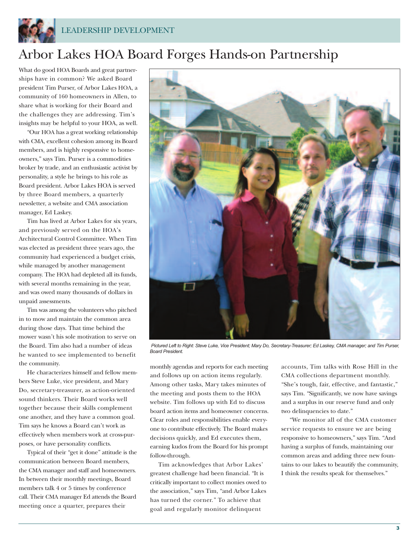

# Arbor Lakes HOA Board Forges Hands-on Partnership

What do good HOA Boards and great partnerships have in common? We asked Board president Tim Purser, of Arbor Lakes HOA, a community of 160 homeowners in Allen, to share what is working for their Board and the challenges they are addressing. Tim's insights may be helpful to your HOA, as well.

"Our HOA has a great working relationship with CMA, excellent cohesion among its Board members, and is highly responsive to homeowners," says Tim. Purser is a commodities broker by trade, and an enthusiastic activist by personality, a style he brings to his role as Board president. Arbor Lakes HOA is served by three Board members, a quarterly newsletter, a website and CMA association manager, Ed Laskey.

Tim has lived at Arbor Lakes for six years, and previously served on the HOA's Architectural Control Committee. When Tim was elected as president three years ago, the community had experienced a budget crisis, while managed by another management company. The HOA had depleted all its funds, with several months remaining in the year, and was owed many thousands of dollars in unpaid assessments.

Tim was among the volunteers who pitched in to mow and maintain the common area during those days. That time behind the mower wasn't his sole motivation to serve on the Board. Tim also had a number of ideas he wanted to see implemented to benefit the community.

He characterizes himself and fellow members Steve Luke, vice president, and Mary Do, secretary-treasurer, as action-oriented sound thinkers. Their Board works well together because their skills complement one another, and they have a common goal. Tim says he knows a Board can't work as effectively when members work at cross-purposes, or have personality conflicts.

Typical of their "get it done" attitude is the communication between Board members, the CMA manager and staff and homeowners. In between their monthly meetings, Board members talk 4 or 5 times by conference call. Their CMA manager Ed attends the Board meeting once a quarter, prepares their



Pictured Left to Right: Steve Luke, Vice President; Mary Do, Secretary-Treasurer; Ed Laskey, CMA manager; and Tim Purser, *Board President.*

monthly agendas and reports for each meeting and follows up on action items regularly. Among other tasks, Mary takes minutes of the meeting and posts them to the HOA website. Tim follows up with Ed to discuss board action items and homeowner concerns. Clear roles and responsibilities enable everyone to contribute effectively. The Board makes decisions quickly, and Ed executes them, earning kudos from the Board for his prompt follow-through.

Tim acknowledges that Arbor Lakes' greatest challenge had been financial. "It is critically important to collect monies owed to the association," says Tim, "and Arbor Lakes has turned the corner." To achieve that goal and regularly monitor delinquent

accounts, Tim talks with Rose Hill in the CMA collections department monthly. "She's tough, fair, effective, and fantastic," says Tim. "Significantly, we now have savings and a surplus in our reserve fund and only two delinquencies to date."

"We monitor all of the CMA customer service requests to ensure we are being responsive to homeowners," says Tim. "And having a surplus of funds, maintaining our common areas and adding three new fountains to our lakes to beautify the community, I think the results speak for themselves."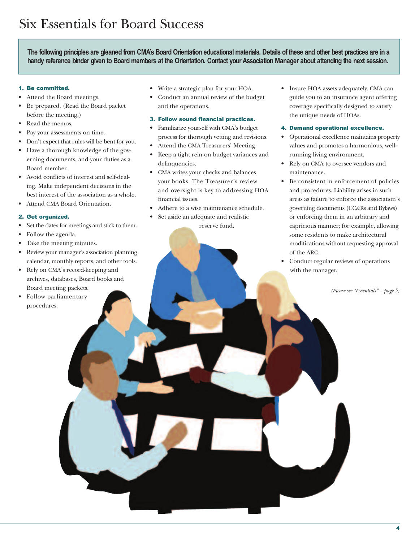The following principles are gleaned from CMA's Board Orientation educational materials. Details of these and other best practices are in a handy reference binder given to Board members at the Orientation. Contact your Association Manager about attending the next session.

#### 1. Be committed.

- Attend the Board meetings.
- Be prepared. (Read the Board packet before the meeting.)
- Read the memos.
- Pay your assessments on time.
- Don't expect that rules will be bent for you.
- Have a thorough knowledge of the governing documents, and your duties as a Board member.
- Avoid conflicts of interest and self-dealing. Make independent decisions in the best interest of the association as a whole.
- Attend CMA Board Orientation.

#### 2. Get organized.

- Set the dates for meetings and stick to them.
- Follow the agenda.
- Take the meeting minutes.
- Review your manager's association planning calendar, monthly reports, and other tools.
- Rely on CMA's record-keeping and archives, databases, Board books and Board meeting packets.
- Follow parliamentary procedures.
- Write a strategic plan for your HOA.
- Conduct an annual review of the budget and the operations.

### 3. Follow sound financial practices.

- Familiarize yourself with CMA's budget process for thorough vetting and revisions.
- Attend the CMA Treasurers' Meeting.
- Keep a tight rein on budget variances and delinquencies.
- CMA writes your checks and balances your books. The Treasurer's review and oversight is key to addressing HOA financial issues.
- Adhere to a wise maintenance schedule.
	- Set aside an adequate and realistic reserve fund.
- Insure HOA assets adequately. CMA can guide you to an insurance agent offering coverage specifically designed to satisfy the unique needs of HOAs.
- 4. Demand operational excellence.
- Operational excellence maintains property values and promotes a harmonious, wellrunning living environment.
- Rely on CMA to oversee vendors and maintenance.
- Be consistent in enforcement of policies and procedures. Liability arises in such areas as failure to enforce the association's governing documents (CC&Rs and Bylaws) or enforcing them in an arbitrary and capricious manner; for example, allowing some residents to make architectural modifications without requesting approval of the ARC.
- Conduct regular reviews of operations with the manager.

*(Please see "Essentials" – page 5)*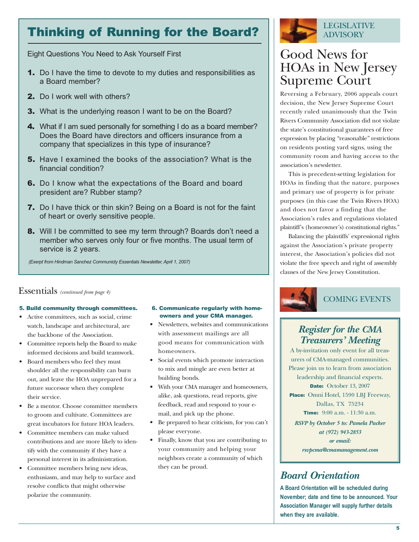# Thinking of Running for the Board?

Eight Questions You Need to Ask Yourself First

- **1.** Do I have the time to devote to my duties and responsibilities as a Board member?
- 2. Do I work well with others?
- 3. What is the underlying reason I want to be on the Board?
- 4. What if I am sued personally for something I do as a board member? Does the Board have directors and officers insurance from a company that specializes in this type of insurance?
- 5. Have I examined the books of the association? What is the financial condition?
- 6. Do I know what the expectations of the Board and board president are? Rubber stamp?
- 7. Do I have thick or thin skin? Being on a Board is not for the faint of heart or overly sensitive people.
- **8.** Will I be committed to see my term through? Boards don't need a member who serves only four or five months. The usual term of service is 2 years.

*(Exerpt from Hindman Sanchez Communicty Essentials Newsletter, April 1, 2007)*

### Essentials *(continued from page 4)*

### 5. Build community through committees.

- Active committees, such as social, crime watch, landscape and architectural, are the backbone of the Association.
- Committee reports help the Board to make informed decisions and build teamwork.
- Board members who feel they must shoulder all the responsibility can burn out, and leave the HOA unprepared for a future successor when they complete their service.
- Be a mentor. Choose committee members to groom and cultivate. Committees are great incubators for future HOA leaders.
- Committee members can make valued contributions and are more likely to identify with the community if they have a personal interest in its administration.
- Committee members bring new ideas, enthusiasm, and may help to surface and resolve conflicts that might otherwise polarize the community.

### 6. Communicate regularly with homeowners and your CMA manager.

- Newsletters, websites and communications with assessment mailings are all good means for communication with homeowners.
- Social events which promote interaction to mix and mingle are even better at building bonds.
- With your CMA manager and homeowners, alike, ask questions, read reports, give feedback, read and respond to your email, and pick up the phone.
- Be prepared to hear criticism, for you can't please everyone.
- Finally, know that you are contributing to your community and helping your neighbors create a community of which they can be proud.



# Good News for HOAs in New Jersey Supreme Court

Reversing a February, 2006 appeals court decision, the New Jersey Supreme Court recently ruled unanimously that the Twin Rivers Community Association did not violate the state's constitutional guarantees of free expression by placing "reasonable" restrictions on residents posting yard signs, using the community room and having access to the association's newsletter.

This is precedent-setting legislation for HOAs in finding that the nature, purposes and primary use of property is for private purposes (in this case the Twin Rivers HOA) and does not favor a finding that the Association's rules and regulations violated plaintiff's (homeowner's) constitutional rights."

Balancing the plaintiffs' expressional rights against the Association's private property interest, the Association's policies did not violate the free speech and right of assembly clauses of the New Jersey Constitution.



### *Register for the CMA Treasurers' Meeting*

A by-invitation only event for all treasurers of CMA-managed communities. Please join us to learn from association leadership and financial experts. Date: October 13, 2007 Place: Omni Hotel, 1590 LBJ Freeway, Dallas, TX 75234 Time: 9:00 a.m. - 11:30 a.m. *RSVP by October 5 to: Pamela Packer at (972) 943-2853 or email:*

*rsvpcma@cmamanagement.com*

### *Board Orientation*

**A Board Orientation will be scheduled during November; date and time to be announced. Your Association Manager will supply further details when they are available.**